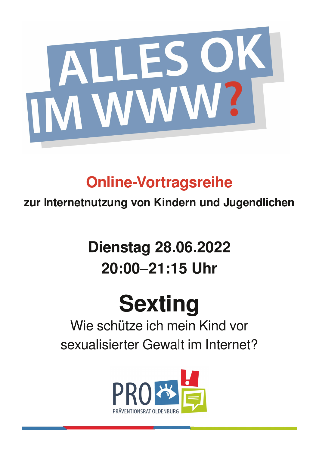

## **Online-Vortragsreihe**

zur Internetnutzung von Kindern und Jugendlichen

## **Dienstag 28.06.2022** 20:00-21:15 Uhr

# **Sexting**

### Wie schütze ich mein Kind vor sexualisierter Gewalt im Internet?

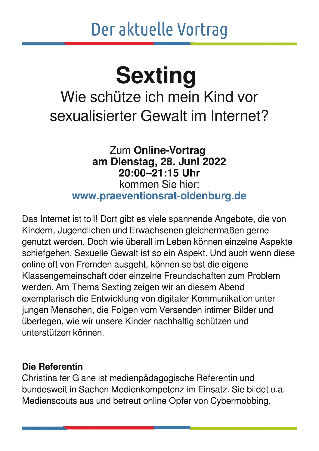## Der aktuelle Vortrag

## **Sexting**

### Wie schütze ich mein Kind vor sexualisierter Gewalt im Internet?

#### Zum Online-Vortrag am Dienstag, 28. Juni 2022 20:00-21:15 Uhr kommen Sie hier: www.praeventionsrat-oldenburg.de

Das Internet ist toll! Dort gibt es viele spannende Angebote, die von Kindern, Jugendlichen und Erwachsenen gleichermaßen gerne genutzt werden. Doch wie überall im Leben können einzelne Aspekte schiefgehen. Sexuelle Gewalt ist so ein Aspekt. Und auch wenn diese online oft von Fremden ausgeht, können selbst die eigene Klassengemeinschaft oder einzelne Freundschaften zum Problem werden. Am Thema Sexting zeigen wir an diesem Abend exemplarisch die Entwicklung von digitaler Kommunikation unter jungen Menschen, die Folgen vom Versenden intimer Bilder und überlegen, wie wir unsere Kinder nachhaltig schützen und unterstützen können.

#### Die Referentin

Christina ter Glane ist medienpädagogische Referentin und bundesweit in Sachen Medienkompetenz im Einsatz. Sie bildet u.a. Medienscouts aus und betreut online Opfer von Cybermobbing.